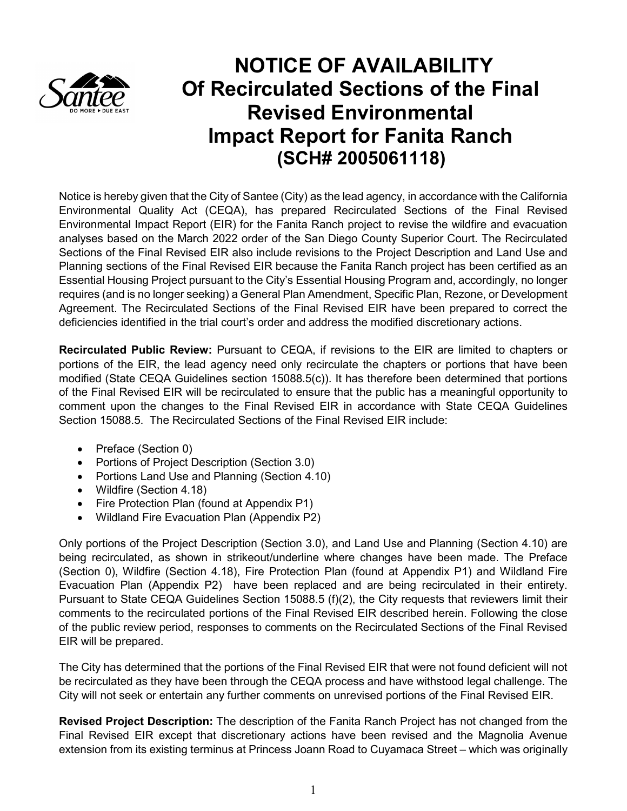

## **NOTICE OF AVAILABILITY Of Recirculated Sections of the Final Revised Environmental Impact Report for Fanita Ranch (SCH# 2005061118)**

Notice is hereby given that the City of Santee (City) as the lead agency, in accordance with the California Environmental Quality Act (CEQA), has prepared Recirculated Sections of the Final Revised Environmental Impact Report (EIR) for the Fanita Ranch project to revise the wildfire and evacuation analyses based on the March 2022 order of the San Diego County Superior Court. The Recirculated Sections of the Final Revised EIR also include revisions to the Project Description and Land Use and Planning sections of the Final Revised EIR because the Fanita Ranch project has been certified as an Essential Housing Project pursuant to the City's Essential Housing Program and, accordingly, no longer requires (and is no longer seeking) a General Plan Amendment, Specific Plan, Rezone, or Development Agreement. The Recirculated Sections of the Final Revised EIR have been prepared to correct the deficiencies identified in the trial court's order and address the modified discretionary actions.

**Recirculated Public Review:** Pursuant to CEQA, if revisions to the EIR are limited to chapters or portions of the EIR, the lead agency need only recirculate the chapters or portions that have been modified (State CEQA Guidelines section 15088.5(c)). It has therefore been determined that portions of the Final Revised EIR will be recirculated to ensure that the public has a meaningful opportunity to comment upon the changes to the Final Revised EIR in accordance with State CEQA Guidelines Section 15088.5. The Recirculated Sections of the Final Revised EIR include:

- Preface (Section 0)
- Portions of Project Description (Section 3.0)
- Portions Land Use and Planning (Section 4.10)
- Wildfire (Section 4.18)
- Fire Protection Plan (found at Appendix P1)
- Wildland Fire Evacuation Plan (Appendix P2)

Only portions of the Project Description (Section 3.0), and Land Use and Planning (Section 4.10) are being recirculated, as shown in strikeout/underline where changes have been made. The Preface (Section 0), Wildfire (Section 4.18), Fire Protection Plan (found at Appendix P1) and Wildland Fire Evacuation Plan (Appendix P2) have been replaced and are being recirculated in their entirety. Pursuant to State CEQA Guidelines Section 15088.5 (f)(2), the City requests that reviewers limit their comments to the recirculated portions of the Final Revised EIR described herein. Following the close of the public review period, responses to comments on the Recirculated Sections of the Final Revised EIR will be prepared.

The City has determined that the portions of the Final Revised EIR that were not found deficient will not be recirculated as they have been through the CEQA process and have withstood legal challenge. The City will not seek or entertain any further comments on unrevised portions of the Final Revised EIR.

**Revised Project Description:** The description of the Fanita Ranch Project has not changed from the Final Revised EIR except that discretionary actions have been revised and the Magnolia Avenue extension from its existing terminus at Princess Joann Road to Cuyamaca Street – which was originally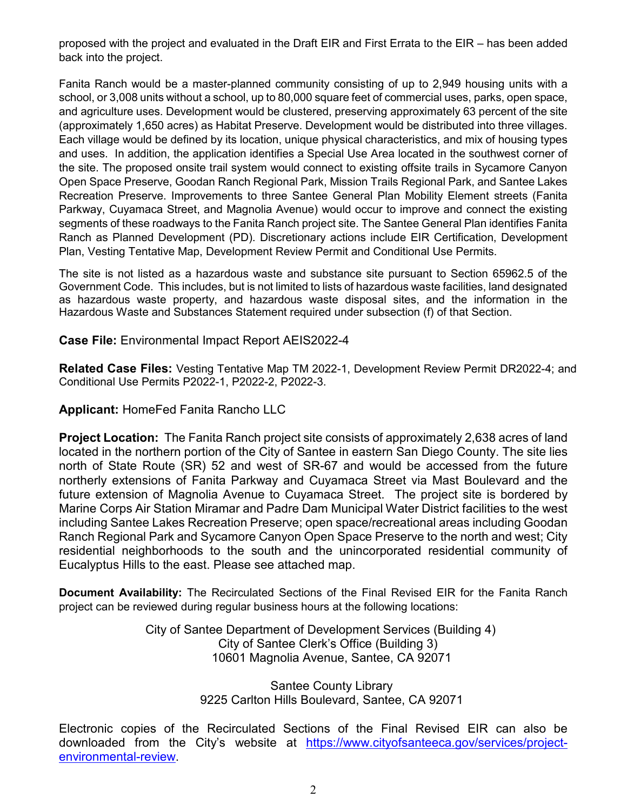proposed with the project and evaluated in the Draft EIR and First Errata to the EIR – has been added back into the project.

Fanita Ranch would be a master-planned community consisting of up to 2,949 housing units with a school, or 3,008 units without a school, up to 80,000 square feet of commercial uses, parks, open space, and agriculture uses. Development would be clustered, preserving approximately 63 percent of the site (approximately 1,650 acres) as Habitat Preserve. Development would be distributed into three villages. Each village would be defined by its location, unique physical characteristics, and mix of housing types and uses. In addition, the application identifies a Special Use Area located in the southwest corner of the site. The proposed onsite trail system would connect to existing offsite trails in Sycamore Canyon Open Space Preserve, Goodan Ranch Regional Park, Mission Trails Regional Park, and Santee Lakes Recreation Preserve. Improvements to three Santee General Plan Mobility Element streets (Fanita Parkway, Cuyamaca Street, and Magnolia Avenue) would occur to improve and connect the existing segments of these roadways to the Fanita Ranch project site. The Santee General Plan identifies Fanita Ranch as Planned Development (PD). Discretionary actions include EIR Certification, Development Plan, Vesting Tentative Map, Development Review Permit and Conditional Use Permits.

The site is not listed as a hazardous waste and substance site pursuant to Section 65962.5 of the Government Code. This includes, but is not limited to lists of hazardous waste facilities, land designated as hazardous waste property, and hazardous waste disposal sites, and the information in the Hazardous Waste and Substances Statement required under subsection (f) of that Section.

**Case File:** Environmental Impact Report AEIS2022-4

**Related Case Files:** Vesting Tentative Map TM 2022-1, Development Review Permit DR2022-4; and Conditional Use Permits P2022-1, P2022-2, P2022-3.

**Applicant:** HomeFed Fanita Rancho LLC

**Project Location:** The Fanita Ranch project site consists of approximately 2,638 acres of land located in the northern portion of the City of Santee in eastern San Diego County. The site lies north of State Route (SR) 52 and west of SR-67 and would be accessed from the future northerly extensions of Fanita Parkway and Cuyamaca Street via Mast Boulevard and the future extension of Magnolia Avenue to Cuyamaca Street. The project site is bordered by Marine Corps Air Station Miramar and Padre Dam Municipal Water District facilities to the west including Santee Lakes Recreation Preserve; open space/recreational areas including Goodan Ranch Regional Park and Sycamore Canyon Open Space Preserve to the north and west; City residential neighborhoods to the south and the unincorporated residential community of Eucalyptus Hills to the east. Please see attached map.

**Document Availability:** The Recirculated Sections of the Final Revised EIR for the Fanita Ranch project can be reviewed during regular business hours at the following locations:

> City of Santee Department of Development Services (Building 4) City of Santee Clerk's Office (Building 3) 10601 Magnolia Avenue, Santee, CA 92071

> > Santee County Library 9225 Carlton Hills Boulevard, Santee, CA 92071

Electronic copies of the Recirculated Sections of the Final Revised EIR can also be downloaded from the City's website at https://www.cityofsanteeca.gov/services/projectenvironmental-review.